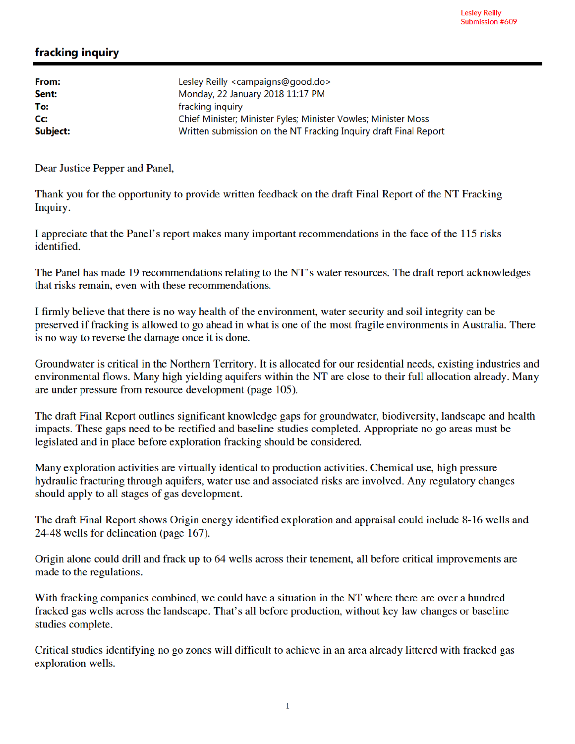## fracking inquiry

| Lesley Reilly <campaigns@good.do></campaigns@good.do>            |
|------------------------------------------------------------------|
| Monday, 22 January 2018 11:17 PM                                 |
| fracking inquiry                                                 |
| Chief Minister; Minister Fyles; Minister Vowles; Minister Moss   |
| Written submission on the NT Fracking Inquiry draft Final Report |
|                                                                  |

Dear Justice Pepper and Panel,

Thank you for the opportunity to provide written feedback on the draft Final Report of the NT Fracking Inquiry.

I appreciate that the Panel's report makes many important recommendations in the face of the 115 risks identified.

The Panel has made 19 recommendations relating to the NT's water resources. The draft report acknowledges that risks remain, even with these recommendations.

I firmly believe that there is no way health of the environment, water security and soil integrity can be preserved if fracking is allowed to go ahead in what is one of the most fragile environments in Australia. There is no way to reverse the damage once it is done.

Groundwater is critical in the Northern Territory. It is allocated for our residential needs, existing industries and environmental flows. Many high yielding aquifers within the NT are close to their full allocation already. Many are under pressure from resource development (page 105).

The draft Final Report outlines significant knowledge gaps for groundwater, biodiversity, landscape and health impacts. These gaps need to be rectified and baseline studies completed. Appropriate no go areas must be legislated and in place before exploration fracking should be considered.

Many exploration activities are virtually identical to production activities. Chemical use, high pressure hydraulic fracturing through aquifers, water use and associated risks are involved. Any regulatory changes should apply to all stages of gas development.

The draft Final Report shows Origin energy identified exploration and appraisal could include 8-16 wells and 24-48 wells for delineation (page 167).

Origin alone could drill and frack up to 64 wells across their tenement, all before critical improvements are made to the regulations.

With fracking companies combined, we could have a situation in the NT where there are over a hundred fracked gas wells across the landscape. That's all before production, without key law changes or baseline studies complete.

Critical studies identifying no go zones will difficult to achieve in an area already littered with fracked gas exploration wells.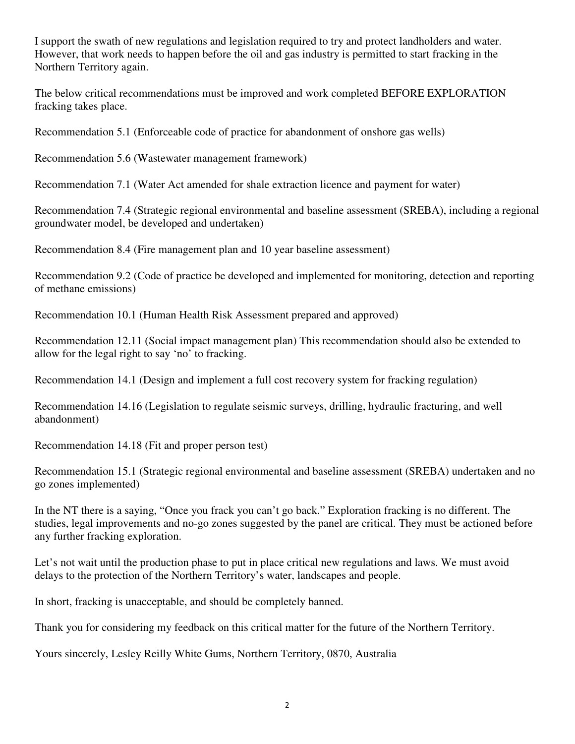I support the swath of new regulations and legislation required to try and protect landholders and water. However, that work needs to happen before the oil and gas industry is permitted to start fracking in the Northern Territory again.

The below critical recommendations must be improved and work completed BEFORE EXPLORATION fracking takes place.

Recommendation 5.1 (Enforceable code of practice for abandonment of onshore gas wells)

Recommendation 5.6 (Wastewater management framework)

Recommendation 7.1 (Water Act amended for shale extraction licence and payment for water)

Recommendation 7.4 (Strategic regional environmental and baseline assessment (SREBA), including a regional groundwater model, be developed and undertaken)

Recommendation 8.4 (Fire management plan and 10 year baseline assessment)

Recommendation 9.2 (Code of practice be developed and implemented for monitoring, detection and reporting of methane emissions)

Recommendation 10.1 (Human Health Risk Assessment prepared and approved)

Recommendation 12.11 (Social impact management plan) This recommendation should also be extended to allow for the legal right to say 'no' to fracking.

Recommendation 14.1 (Design and implement a full cost recovery system for fracking regulation)

Recommendation 14.16 (Legislation to regulate seismic surveys, drilling, hydraulic fracturing, and well abandonment)

Recommendation 14.18 (Fit and proper person test)

Recommendation 15.1 (Strategic regional environmental and baseline assessment (SREBA) undertaken and no go zones implemented)

In the NT there is a saying, "Once you frack you can't go back." Exploration fracking is no different. The studies, legal improvements and no-go zones suggested by the panel are critical. They must be actioned before any further fracking exploration.

Let's not wait until the production phase to put in place critical new regulations and laws. We must avoid delays to the protection of the Northern Territory's water, landscapes and people.

In short, fracking is unacceptable, and should be completely banned.

Thank you for considering my feedback on this critical matter for the future of the Northern Territory.

Yours sincerely, Lesley Reilly White Gums, Northern Territory, 0870, Australia